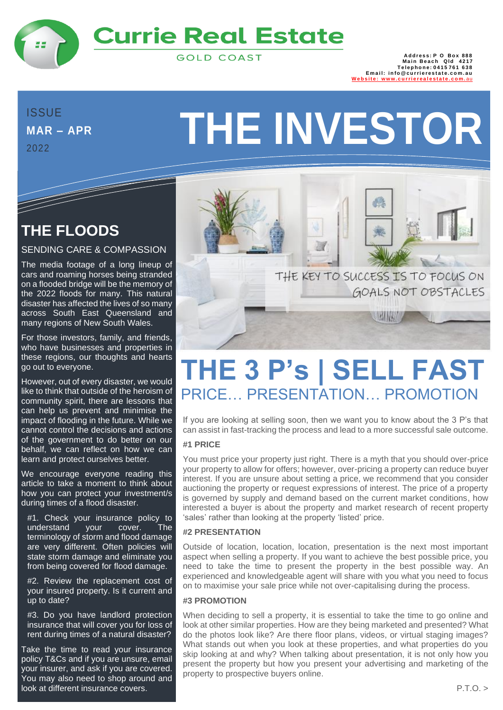

# **Currie Real Estate**

**GOLD COAST** 

888 Address: P O Box<br>1217 Main Beach Qld<br>15761 Telephone: 0415 **Email:** info@currierestate.com.au<br>Website: www.currierealestate.com.au www.cu[rri](http://www.currierealestate.com.au/)erealestate

# **MAR – APR**

<u>The Communication of the Communication of the Communication of the Communication of the Communication of the Co</u>

2022

# **MAR-APR THE INVESTOR**

# **THE FLOODS**

#### SENDING CARE & COMPASSION

The media footage of a long lineup of cars and roaming horses being stranded on a flooded bridge will be the memory of the 2022 floods for many. This natural disaster has affected the lives of so many across South East Queensland and many regions of New South Wales.

For those investors, family, and friends, who have businesses and properties in these regions, our thoughts and hearts go out to everyone.

However, out of every disaster, we would like to think that outside of the heroism of community spirit, there are lessons that can help us prevent and minimise the impact of flooding in the future. While we cannot control the decisions and actions of the government to do better on our behalf, we can reflect on how we can learn and protect ourselves better.

We encourage everyone reading this article to take a moment to think about how you can protect your investment/s during times of a flood disaster.

#1. Check your insurance policy to understand your cover. The terminology of storm and flood damage are very different. Often policies will state storm damage and eliminate you from being covered for flood damage.

#2. Review the replacement cost of your insured property. Is it current and up to date?

#3. Do you have landlord protection insurance that will cover you for loss of rent during times of a natural disaster?

Take the time to read your insurance policy T&Cs and if you are unsure, email your insurer, and ask if you are covered. You may also need to shop around and look at different insurance covers.



# **THE 3 P's | SELL FAST** PRICE… PRESENTATION… PROMOTION

If you are looking at selling soon, then we want you to know about the 3 P's that can assist in fast-tracking the process and lead to a more successful sale outcome.

#### **#1 PRICE**

You must price your property just right. There is a myth that you should over-price your property to allow for offers; however, over-pricing a property can reduce buyer interest. If you are unsure about setting a price, we recommend that you consider auctioning the property or request expressions of interest. The price of a property is governed by supply and demand based on the current market conditions, how interested a buyer is about the property and market research of recent property 'sales' rather than looking at the property 'listed' price.

#### **#2 PRESENTATION**

Outside of location, location, location, presentation is the next most important aspect when selling a property. If you want to achieve the best possible price, you need to take the time to present the property in the best possible way. An experienced and knowledgeable agent will share with you what you need to focus on to maximise your sale price while not over-capitalising during the process.

#### **#3 PROMOTION**

When deciding to sell a property, it is essential to take the time to go online and look at other similar properties. How are they being marketed and presented? What do the photos look like? Are there floor plans, videos, or virtual staging images? What stands out when you look at these properties, and what properties do you skip looking at and why? When talking about presentation, it is not only how you present the property but how you present your advertising and marketing of the property to prospective buyers online.